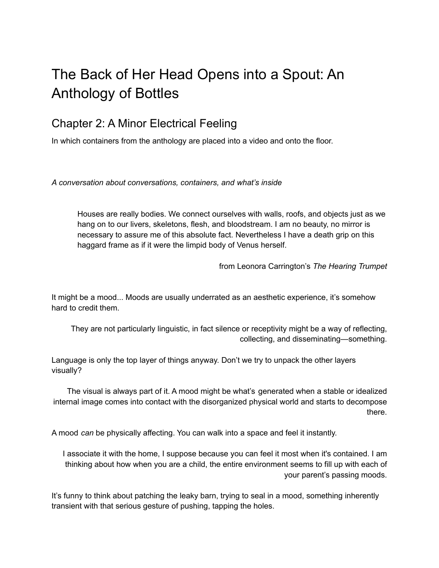## The Back of Her Head Opens into a Spout: An Anthology of Bottles

## Chapter 2: A Minor Electrical Feeling

In which containers from the anthology are placed into a video and onto the floor.

*A conversation about conversations, containers, and what's inside*

Houses are really bodies. We connect ourselves with walls, roofs, and objects just as we hang on to our livers, skeletons, flesh, and bloodstream. I am no beauty, no mirror is necessary to assure me of this absolute fact. Nevertheless I have a death grip on this haggard frame as if it were the limpid body of Venus herself.

from Leonora Carrington's *The Hearing Trumpet*

It might be a mood... Moods are usually underrated as an aesthetic experience, it's somehow hard to credit them.

They are not particularly linguistic, in fact silence or receptivity might be a way of reflecting, collecting, and disseminating—something.

Language is only the top layer of things anyway. Don't we try to unpack the other layers visually?

The visual is always part of it. A mood might be what's generated when a stable or idealized internal image comes into contact with the disorganized physical world and starts to decompose there.

A mood *can* be physically affecting. You can walk into a space and feel it instantly.

I associate it with the home, I suppose because you can feel it most when it's contained. I am thinking about how when you are a child, the entire environment seems to fill up with each of your parent's passing moods.

It's funny to think about patching the leaky barn, trying to seal in a mood, something inherently transient with that serious gesture of pushing, tapping the holes.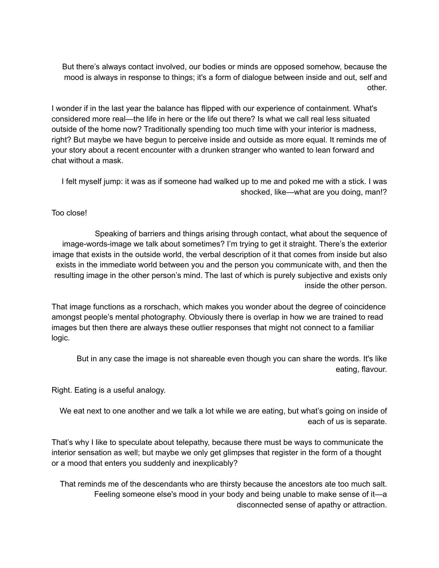But there's always contact involved, our bodies or minds are opposed somehow, because the mood is always in response to things; it's a form of dialogue between inside and out, self and other.

I wonder if in the last year the balance has flipped with our experience of containment. What's considered more real—the life in here or the life out there? Is what we call real less situated outside of the home now? Traditionally spending too much time with your interior is madness, right? But maybe we have begun to perceive inside and outside as more equal. It reminds me of your story about a recent encounter with a drunken stranger who wanted to lean forward and chat without a mask.

I felt myself jump: it was as if someone had walked up to me and poked me with a stick. I was shocked, like—what are you doing, man!?

## Too close!

Speaking of barriers and things arising through contact, what about the sequence of image-words-image we talk about sometimes? I'm trying to get it straight. There's the exterior image that exists in the outside world, the verbal description of it that comes from inside but also exists in the immediate world between you and the person you communicate with, and then the resulting image in the other person's mind. The last of which is purely subjective and exists only inside the other person.

That image functions as a rorschach, which makes you wonder about the degree of coincidence amongst people's mental photography. Obviously there is overlap in how we are trained to read images but then there are always these outlier responses that might not connect to a familiar logic.

But in any case the image is not shareable even though you can share the words. It's like eating, flavour.

Right. Eating is a useful analogy.

We eat next to one another and we talk a lot while we are eating, but what's going on inside of each of us is separate.

That's why I like to speculate about telepathy, because there must be ways to communicate the interior sensation as well; but maybe we only get glimpses that register in the form of a thought or a mood that enters you suddenly and inexplicably?

That reminds me of the descendants who are thirsty because the ancestors ate too much salt. Feeling someone else's mood in your body and being unable to make sense of it—a disconnected sense of apathy or attraction.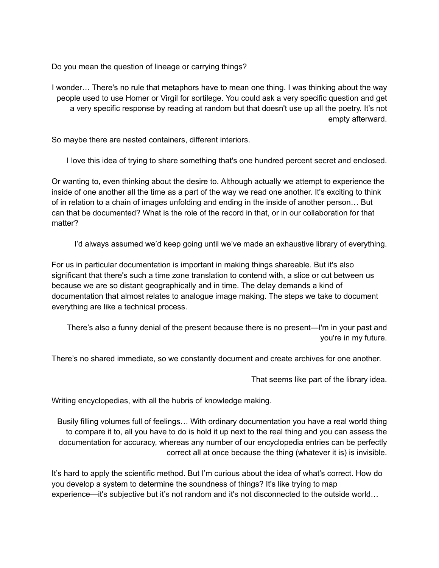Do you mean the question of lineage or carrying things?

I wonder… There's no rule that metaphors have to mean one thing. I was thinking about the way people used to use Homer or Virgil for sortilege. You could ask a very specific question and get a very specific response by reading at random but that doesn't use up all the poetry. It's not empty afterward.

So maybe there are nested containers, different interiors.

I love this idea of trying to share something that's one hundred percent secret and enclosed.

Or wanting to, even thinking about the desire to. Although actually we attempt to experience the inside of one another all the time as a part of the way we read one another. It's exciting to think of in relation to a chain of images unfolding and ending in the inside of another person… But can that be documented? What is the role of the record in that, or in our collaboration for that matter?

I'd always assumed we'd keep going until we've made an exhaustive library of everything.

For us in particular documentation is important in making things shareable. But it's also significant that there's such a time zone translation to contend with, a slice or cut between us because we are so distant geographically and in time. The delay demands a kind of documentation that almost relates to analogue image making. The steps we take to document everything are like a technical process.

There's also a funny denial of the present because there is no present—I'm in your past and you're in my future.

There's no shared immediate, so we constantly document and create archives for one another.

That seems like part of the library idea.

Writing encyclopedias, with all the hubris of knowledge making.

Busily filling volumes full of feelings… With ordinary documentation you have a real world thing to compare it to, all you have to do is hold it up next to the real thing and you can assess the documentation for accuracy, whereas any number of our encyclopedia entries can be perfectly correct all at once because the thing (whatever it is) is invisible.

It's hard to apply the scientific method. But I'm curious about the idea of what's correct. How do you develop a system to determine the soundness of things? It's like trying to map experience—it's subjective but it's not random and it's not disconnected to the outside world…